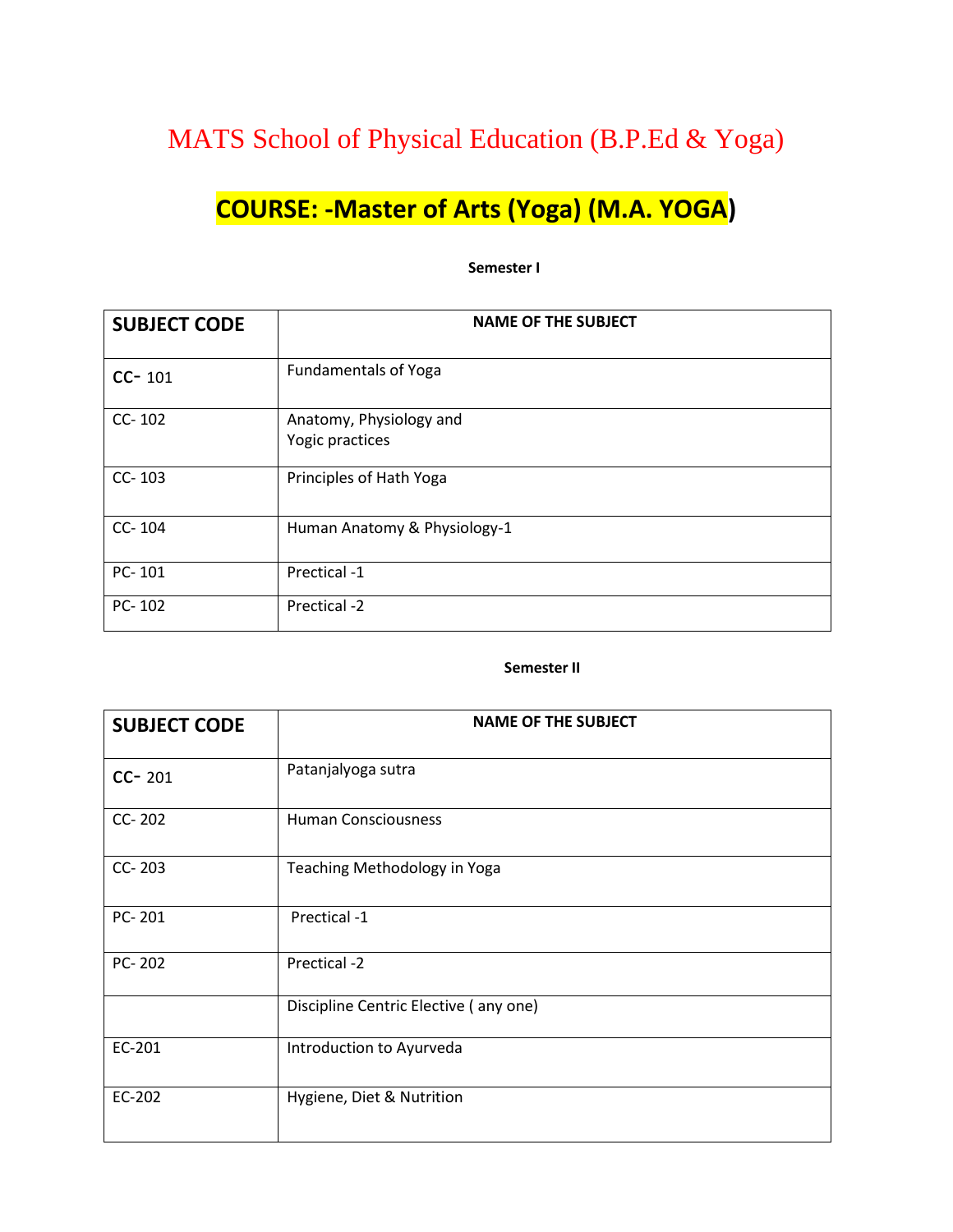## MATS School of Physical Education (B.P.Ed & Yoga)

# **COURSE: -Master of Arts (Yoga) (M.A. YOGA)**

#### **Semester I**

| <b>SUBJECT CODE</b> | <b>NAME OF THE SUBJECT</b>   |
|---------------------|------------------------------|
| $CC - 101$          | <b>Fundamentals of Yoga</b>  |
| $CC-102$            | Anatomy, Physiology and      |
|                     | Yogic practices              |
| $CC-103$            | Principles of Hath Yoga      |
| CC-104              | Human Anatomy & Physiology-1 |
| PC-101              | Prectical -1                 |
| $PC - 102$          | Prectical -2                 |

#### **Semester II**

| <b>SUBJECT CODE</b> | <b>NAME OF THE SUBJECT</b>            |
|---------------------|---------------------------------------|
| $CC - 201$          | Patanjalyoga sutra                    |
| CC-202              | <b>Human Consciousness</b>            |
| CC-203              | Teaching Methodology in Yoga          |
| PC-201              | Prectical -1                          |
| PC-202              | Prectical -2                          |
|                     | Discipline Centric Elective (any one) |
| EC-201              | Introduction to Ayurveda              |
| EC-202              | Hygiene, Diet & Nutrition             |